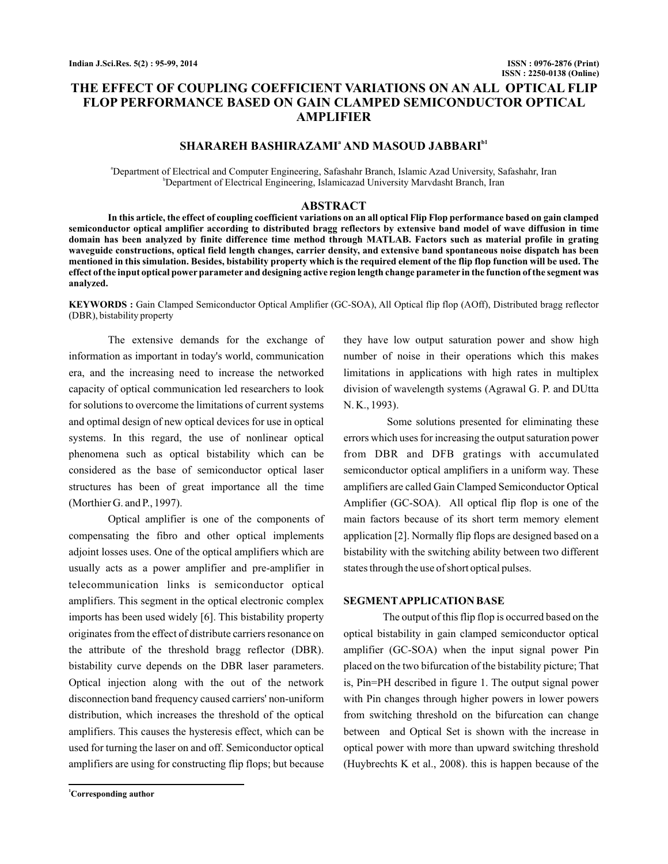# **THE EFFECT OF COUPLING COEFFICIENT VARIATIONS ON AN ALL OPTICAL FLIP FLOP PERFORMANCE BASED ON GAIN CLAMPED SEMICONDUCTOR OPTICAL AMPLIFIER**

## $SHARAREH BASHIRAZAMI<sup>a</sup> AND MASOUD JABBARI<sup>b1</sup>$

a Department of Electrical and Computer Engineering, Safashahr Branch, Islamic Azad University, Safashahr, Iran b Department of Electrical Engineering, Islamicazad University Marvdasht Branch, Iran

#### **ABSTRACT**

**In this article, the effect of coupling coefficient variations on an all optical Flip Flop performance based on gain clamped semiconductor optical amplifier according to distributed bragg reflectors by extensive band model of wave diffusion in time domain has been analyzed by finite difference time method through MATLAB. Factors such as material profile in grating waveguide constructions, optical field length changes, carrier density, and extensive band spontaneous noise dispatch has been mentioned in this simulation. Besides, bistability property which is the required element of the flip flop function will be used. The effect of the input optical power parameter and designing active region length change parameter in the function of the segment was analyzed.**

KEYWORDS : Gain Clamped Semiconductor Optical Amplifier (GC-SOA), All Optical flip flop (AOff), Distributed bragg reflector (DBR), bistability property

The extensive demands for the exchange of information as important in today's world, communication era, and the increasing need to increase the networked capacity of optical communication led researchers to look for solutions to overcome the limitations of current systems and optimal design of new optical devices for use in optical systems. In this regard, the use of nonlinear optical phenomena such as optical bistability which can be considered as the base of semiconductor optical laser structures has been of great importance all the time (Morthier G. and P., 1997).

Optical amplifier is one of the components of compensating the fibro and other optical implements adjoint losses uses. One of the optical amplifiers which are usually acts as a power amplifier and pre-amplifier in telecommunication links is semiconductor optical amplifiers. This segment in the optical electronic complex imports has been used widely [6]. This bistability property originates from the effect of distribute carriers resonance on the attribute of the threshold bragg reflector (DBR). bistability curve depends on the DBR laser parameters. Optical injection along with the out of the network disconnection band frequency caused carriers' non-uniform distribution, which increases the threshold of the optical amplifiers. This causes the hysteresis effect, which can be used for turning the laser on and off. Semiconductor optical amplifiers are using for constructing flip flops; but because

**<sup>1</sup>Corresponding author**

they have low output saturation power and show high number of noise in their operations which this makes limitations in applications with high rates in multiplex division of wavelength systems (Agrawal G. P. and DUtta N. K., 1993).

Some solutions presented for eliminating these errors which uses for increasing the output saturation power from DBR and DFB gratings with accumulated semiconductor optical amplifiers in a uniform way. These amplifiers are called Gain Clamped Semiconductor Optical Amplifier (GC-SOA). All optical flip flop is one of the main factors because of its short term memory element application [2]. Normally flip flops are designed based on a bistability with the switching ability between two different states through the use of short optical pulses.

### **SEGMENTAPPLICATION BASE**

The output of this flip flop is occurred based on the optical bistability in gain clamped semiconductor optical amplifier (GC-SOA) when the input signal power Pin placed on the two bifurcation of the bistability picture; That is, Pin=PH described in figure 1. The output signal power with Pin changes through higher powers in lower powers from switching threshold on the bifurcation can change between and Optical Set is shown with the increase in optical power with more than upward switching threshold (Huybrechts K et al., 2008). this is happen because of the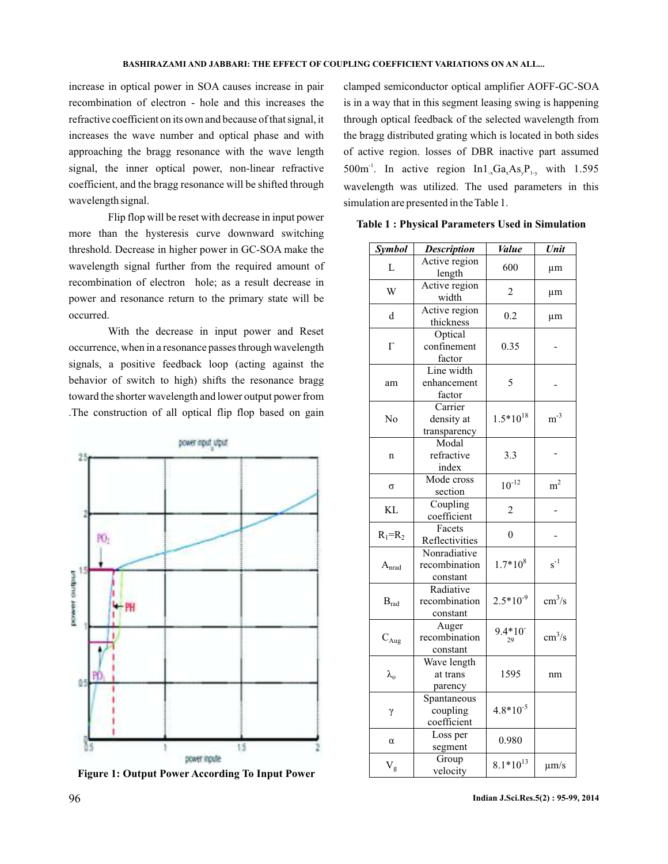increase in optical power in SOA causes increase in pair recombination of electron - hole and this increases the refractive coefficient on its own and because of that signal, it increases the wave number and optical phase and with approaching the bragg resonance with the wave length signal, the inner optical power, non-linear refractive coefficient, and the bragg resonance will be shifted through wavelength signal.

Flip flop will be reset with decrease in input power more than the hysteresis curve downward switching threshold. Decrease in higher power in GC-SOA make the wavelength signal further from the required amount of recombination of electron hole; as a result decrease in power and resonance return to the primary state will be occurred.

With the decrease in input power and Reset occurrence, when in a resonance passes through wavelength signals, a positive feedback loop (acting against the behavior of switch to high) shifts the resonance bragg toward the shorter wavelength and lower output power from .The construction of all optical flip flop based on gain



**Figure 1: Output Power According To Input Power**

clamped semiconductor optical amplifier AOFF-GC-SOA is in a way that in this segment leasing swing is happening through optical feedback of the selected wavelength from the bragg distributed grating which is located in both sides of active region. losses of DBR inactive part assumed 500m<sup>-1</sup>. In active region  $\text{In} 1_{\alpha} \text{Ga}_{\alpha} \text{As}_{\gamma} \text{P}_{1-\gamma}$  with 1.595 wavelength was utilized. The used parameters in this simulation are presented in the Table 1.

| Symbol                 | <b>Description</b>                        | Value              | Unit                   |
|------------------------|-------------------------------------------|--------------------|------------------------|
| L                      | Active region<br>length                   | 600                | μm                     |
| W                      | Active region<br>width                    | 2                  | μm                     |
| d                      | Active region<br>thickness                | 0.2                | μm                     |
| Γ                      | Optical<br>confinement<br>factor          | 0.35               |                        |
| am                     | Line width<br>enhancement<br>factor       | 5                  |                        |
| No                     | Carrier<br>density at<br>transparency     | $1.5*10^{18}$      | $m^{-3}$               |
| $\mathbf n$            | Modal<br>refractive<br>index              | 3.3                |                        |
| $\sigma$               | Mode cross<br>section                     | $10^{-12}$         | m <sup>2</sup>         |
| <b>KL</b>              | Coupling<br>coefficient                   | 2                  |                        |
| $R_1 = R_2$            | Facets<br>Reflectivities                  | $\theta$           |                        |
| A <sub>nrad</sub>      | Nonradiative<br>recombination<br>constant | $1.7*10^{8}$       | $s^{-1}$               |
| $\mathbf{B}_{\rm rad}$ | Radiative<br>recombination<br>constant    | $2.5*10^{-9}$      | $\text{cm}^3/\text{s}$ |
| $C_{Aug}$              | Auger<br>recombination<br>constant        | $9.4*10^{-}$<br>29 | $\text{cm}^3/\text{s}$ |
| $\lambda_{\rm o}$      | Wave length<br>at trans<br>parency        | 1595               | nm                     |
| $\gamma$               | Spantaneous<br>coupling<br>coefficient    | $4.8*10^{-5}$      |                        |
| α                      | Loss per<br>segment                       | 0.980              |                        |
| $V_g$                  | Group<br>velocity                         | $8.1*10^{13}$      | $\mu$ m/s              |

**Table 1 : Physical Parameters Used in Simulation**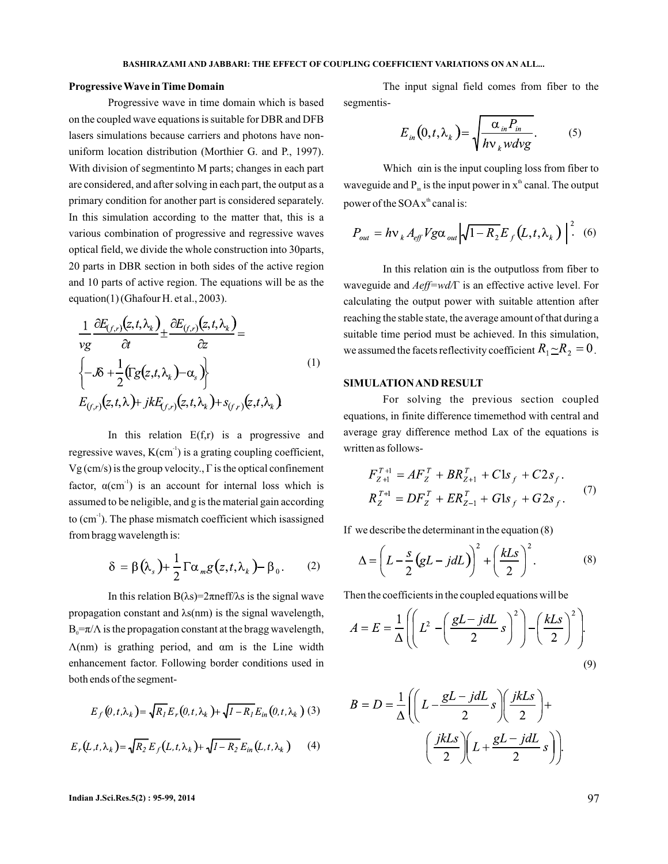#### **Progressive Wave in Time Domain**

Progressive wave in time domain which is based on the coupled wave equations is suitable for DBR and DFB lasers simulations because carriers and photons have nonuniform location distribution (Morthier G. and P., 1997). With division of segmentinto M parts; changes in each part are considered, and after solving in each part, the output as a primary condition for another part is considered separately. In this simulation according to the matter that, this is a various combination of progressive and regressive waves optical field, we divide the whole construction into 30parts, 20 parts in DBR section in both sides of the active region and 10 parts of active region. The equations will be as the  $equation(1)$  (Ghafour H. et al., 2003).

$$
\frac{1}{\nu g} \frac{\partial E_{(f,r)}(z,t,\lambda_k)}{\partial t} \pm \frac{\partial E_{(f,r)}(z,t,\lambda_k)}{\partial z} =
$$
\n
$$
\left\{-\mathcal{S} + \frac{1}{2} \left( \Gamma g(z,t,\lambda_k) - \alpha_s \right) \right\}
$$
\n
$$
E_{(f,r)}(z,t,\lambda) + jk E_{(f,r)}(z,t,\lambda_k) + s_{(f,r)}(z,t,\lambda_k)
$$
\n(1)

In this relation  $E(f,r)$  is a progressive and regressive waves,  $K(cm<sup>-1</sup>)$  is a grating coupling coefficient, factor,  $\alpha$ (cm<sup>-1</sup>) is an account for internal loss which is assumed to be neligible, and g is the material gain according to  $(cm<sup>-1</sup>)$ . The phase mismatch coefficient which isassigned from bragg wavelength is: Vg (cm/s) is the group velocity., Γ is the optical confinement

$$
\delta = \beta(\lambda_s) + \frac{1}{2} \Gamma \alpha_m g(z, t, \lambda_k) - \beta_0. \tag{2}
$$

 $\mathrm{B}_{\mathrm{0}}=\pi/\Lambda$  is the propagation constant at the bragg wavelength, enhancement factor. Following border conditions used in both ends of the segment-In this relation  $B(λs)=2πneff/λs$  is the signal wave propagation constant and λs(nm) is the signal wavelength,  $\Lambda$ (nm) is grathing period, and  $\alpha$ m is the Line width

$$
E_f(0,t,\lambda_k) = \sqrt{R_I} E_r(0,t,\lambda_k) + \sqrt{I - R_I} E_{in}(0,t,\lambda_k)
$$
 (3)

$$
E_r(L,t,\lambda_k) = \sqrt{R_2} E_f(L,t,\lambda_k) + \sqrt{I - R_2} E_{in}(L,t,\lambda_k)
$$
 (4)

The input signal field comes from fiber to the segmentis-

$$
E_{in}(0, t, \lambda_k) = \sqrt{\frac{\alpha_{in} P_{in}}{h v_k w d v g}}.
$$
 (5)

Which  $\alpha$ in is the input coupling loss from fiber to waveguide and  $P_{in}$  is the input power in  $x<sup>th</sup>$  canal. The output power of the  $\text{SOAx}^{\text{th}}$  canal is:

$$
P_{out} = h v_k A_{eff} V g \alpha_{out} \sqrt{1 - R_2} E_f(L, t, \lambda_k) \Big|^{2}.
$$
 (6)

In this relation  $\alpha$ in is the outputloss from fiber to waveguide and *Aeff*=wd/ $\Gamma$  is an effective active level. For calculating the output power with suitable attention after reaching the stable state, the average amount of that during a suitable time period must be achieved. In this simulation, we assumed the facets reflectivity coefficient  $R_1 \simeq R_2 = 0$ .

## **SIMULATIONAND RESULT**

For solving the previous section coupled equations, in finite difference timemethod with central and average gray difference method Lax of the equations is written as follows-

$$
F_{Z+1}^{T+1} = AF_Z^T + BR_{Z+1}^T + C1s_f + C2s_f.
$$
  
\n
$$
R_Z^{T+1} = DF_Z^T + ER_{Z-1}^T + G1s_f + G2s_f.
$$
 (7)

If we describe the determinant in the equation (8)

$$
\Delta = \left(L - \frac{s}{2} \left(gL - j dL\right)\right)^2 + \left(\frac{kLs}{2}\right)^2. \tag{8}
$$

Then the coefficients in the coupled equations will be

$$
A = E = \frac{1}{\Delta} \left( \left( L^2 - \left( \frac{gL - jdL}{2} s \right)^2 \right) - \left( \frac{kLs}{2} \right)^2 \right).
$$
\n(9)

$$
B = D = \frac{1}{\Delta} \left( \left( L - \frac{gL - jdL}{2} s \right) \left( \frac{jkLs}{2} \right) + \left( \frac{jkLs}{2} \right) \left( L + \frac{gL - jdL}{2} s \right) \right).
$$

**Indian J.Sci.Res.5(2) : 95-99, 2014** 97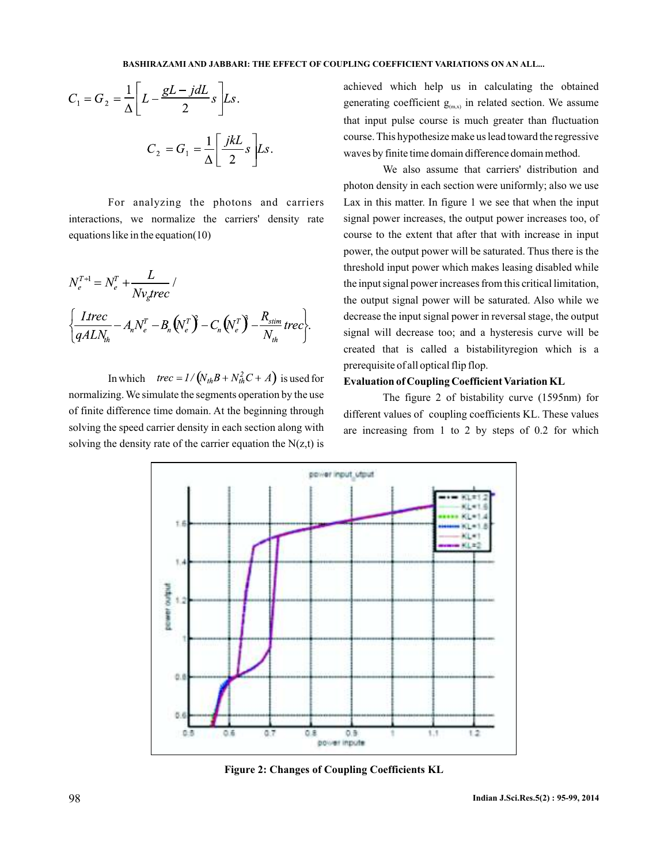$$
C_1 = G_2 = \frac{1}{\Delta} \left[ L - \frac{gL - jdL}{2} s \right] Ls.
$$
  

$$
C_2 = G_1 = \frac{1}{\Delta} \left[ \frac{jkL}{2} s \right] Ls.
$$

For analyzing the photons and carriers interactions, we normalize the carriers' density rate equations like in the equation(10)

$$
N_e^{T+1} = N_e^T + \frac{L}{Nv_g trec'}
$$
  

$$
\left\{\frac{Itrec}{qALN_{th}} - A_n N_e^T - B_n (N_e^T) - C_n (N_e^T) - \frac{R_{stim}}{N_{th}} trec\right\}.
$$

In which  $tree = 1/(N_{th}B + N_{th}^2C + A)$  is used for **Evaluation of Coupling Coefficient Variation KL** normalizing.We simulate the segments operation by the use of finite difference time domain. At the beginning through solving the speed carrier density in each section along with solving the density rate of the carrier equation the  $N(z,t)$  is

achieved which help us in calculating the obtained generating coefficient  $g_{(m,x)}$  in related section. We assume that input pulse course is much greater than fluctuation course. This hypothesize make us lead toward the regressive waves by finite time domain difference domain method.

We also assume that carriers' distribution and photon density in each section were uniformly; also we use Lax in this matter. In figure 1 we see that when the input signal power increases, the output power increases too, of course to the extent that after that with increase in input power, the output power will be saturated. Thus there is the threshold input power which makes leasing disabled while the input signal power increases from this critical limitation, the output signal power will be saturated. Also while we decrease the input signal power in reversal stage, the output signal will decrease too; and a hysteresis curve will be created that is called a bistabilityregion which is a prerequisite of all optical flip flop.

The figure 2 of bistability curve (1595nm) for different values of coupling coefficients KL. These values are increasing from 1 to 2 by steps of 0.2 for which



**Figure 2: Changes of Coupling Coefficients KL**